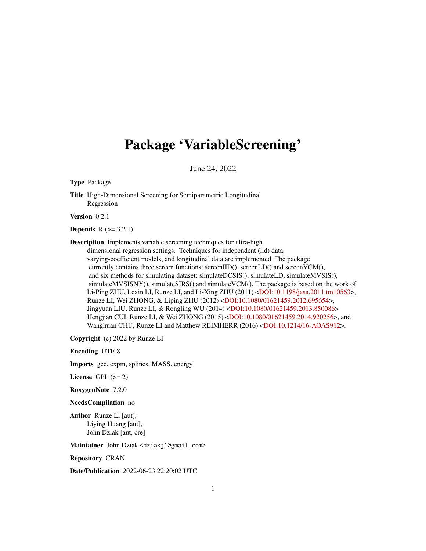## Package 'VariableScreening'

June 24, 2022

Type Package

Title High-Dimensional Screening for Semiparametric Longitudinal Regression

Version 0.2.1

**Depends**  $R (= 3.2.1)$ 

Description Implements variable screening techniques for ultra-high dimensional regression settings. Techniques for independent (iid) data, varying-coefficient models, and longitudinal data are implemented. The package currently contains three screen functions: screenIID(), screenLD() and screenVCM(), and six methods for simulating dataset: simulateDCSIS(), simulateLD, simulateMVSIS(), simulateMVSISNY(), simulateSIRS() and simulateVCM(). The package is based on the work of Li-Ping ZHU, Lexin LI, Runze LI, and Li-Xing ZHU (2011) [<DOI:10.1198/jasa.2011.tm10563>](https://doi.org/10.1198/jasa.2011.tm10563), Runze LI, Wei ZHONG, & Liping ZHU (2012) [<DOI:10.1080/01621459.2012.695654>](https://doi.org/10.1080/01621459.2012.695654), Jingyuan LIU, Runze LI, & Rongling WU (2014) [<DOI:10.1080/01621459.2013.850086>](https://doi.org/10.1080/01621459.2013.850086) Hengjian CUI, Runze LI, & Wei ZHONG (2015) [<DOI:10.1080/01621459.2014.920256>](https://doi.org/10.1080/01621459.2014.920256), and Wanghuan CHU, Runze LI and Matthew REIMHERR (2016) [<DOI:10.1214/16-AOAS912>](https://doi.org/10.1214/16-AOAS912).

Copyright (c) 2022 by Runze LI

Encoding UTF-8

Imports gee, expm, splines, MASS, energy

License GPL  $(>= 2)$ 

RoxygenNote 7.2.0

NeedsCompilation no

Author Runze Li [aut], Liying Huang [aut], John Dziak [aut, cre]

Maintainer John Dziak <dziakj1@gmail.com>

Repository CRAN

Date/Publication 2022-06-23 22:20:02 UTC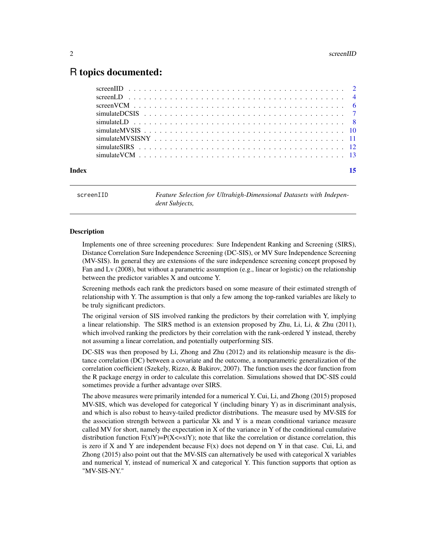## <span id="page-1-0"></span>R topics documented:

| Index |  |
|-------|--|
|       |  |
|       |  |
|       |  |
|       |  |
|       |  |
|       |  |
|       |  |
|       |  |
|       |  |

screenIID *Feature Selection for Ultrahigh-Dimensional Datasets with Independent Subjects,*

## **Description**

Implements one of three screening procedures: Sure Independent Ranking and Screening (SIRS), Distance Correlation Sure Independence Screening (DC-SIS), or MV Sure Independence Screening (MV-SIS). In general they are extensions of the sure independence screening concept proposed by Fan and Lv (2008), but without a parametric assumption (e.g., linear or logistic) on the relationship between the predictor variables X and outcome Y.

Screening methods each rank the predictors based on some measure of their estimated strength of relationship with Y. The assumption is that only a few among the top-ranked variables are likely to be truly significant predictors.

The original version of SIS involved ranking the predictors by their correlation with Y, implying a linear relationship. The SIRS method is an extension proposed by Zhu, Li, Li, & Zhu (2011), which involved ranking the predictors by their correlation with the rank-ordered Y instead, thereby not assuming a linear correlation, and potentially outperforming SIS.

DC-SIS was then proposed by Li, Zhong and Zhu (2012) and its relationship measure is the distance correlation (DC) between a covariate and the outcome, a nonparametric generalization of the correlation coefficient (Szekely, Rizzo, & Bakirov, 2007). The function uses the dcor function from the R package energy in order to calculate this correlation. Simulations showed that DC-SIS could sometimes provide a further advantage over SIRS.

The above measures were primarily intended for a numerical Y. Cui, Li, and Zhong (2015) proposed MV-SIS, which was developed for categorical Y (including binary Y) as in discriminant analysis, and which is also robust to heavy-tailed predictor distributions. The measure used by MV-SIS for the association strength between a particular Xk and Y is a mean conditional variance measure called MV for short, namely the expectation in X of the variance in Y of the conditional cumulative distribution function  $F(x|Y)=P(X\leq x|Y)$ ; note that like the correlation or distance correlation, this is zero if X and Y are independent because  $F(x)$  does not depend on Y in that case. Cui, Li, and Zhong (2015) also point out that the MV-SIS can alternatively be used with categorical X variables and numerical Y, instead of numerical X and categorical Y. This function supports that option as "MV-SIS-NY."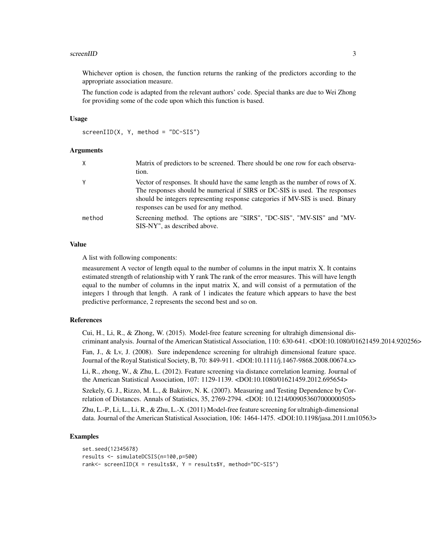#### screenIID 3

Whichever option is chosen, the function returns the ranking of the predictors according to the appropriate association measure.

The function code is adapted from the relevant authors' code. Special thanks are due to Wei Zhong for providing some of the code upon which this function is based.

#### Usage

```
screenID(X, Y, method = "DC-SIS")
```
#### Arguments

| X      | Matrix of predictors to be screened. There should be one row for each observa-<br>tion.                                                                                                                                                                                                 |
|--------|-----------------------------------------------------------------------------------------------------------------------------------------------------------------------------------------------------------------------------------------------------------------------------------------|
| Υ      | Vector of responses. It should have the same length as the number of rows of X.<br>The responses should be numerical if SIRS or DC-SIS is used. The responses<br>should be integers representing response categories if MV-SIS is used. Binary<br>responses can be used for any method. |
| method | Screening method. The options are "SIRS", "DC-SIS", "MV-SIS" and "MV-<br>SIS-NY", as described above.                                                                                                                                                                                   |

#### Value

A list with following components:

measurement A vector of length equal to the number of columns in the input matrix X. It contains estimated strength of relationship with Y rank The rank of the error measures. This will have length equal to the number of columns in the input matrix X, and will consist of a permutation of the integers 1 through that length. A rank of 1 indicates the feature which appears to have the best predictive performance, 2 represents the second best and so on.

## References

Cui, H., Li, R., & Zhong, W. (2015). Model-free feature screening for ultrahigh dimensional discriminant analysis. Journal of the American Statistical Association, 110: 630-641. <DOI:10.1080/01621459.2014.920256>

Fan, J., & Lv, J. (2008). Sure independence screening for ultrahigh dimensional feature space. Journal of the Royal Statistical Society, B, 70: 849-911. <DOI:10.1111/j.1467-9868.2008.00674.x>

Li, R., zhong, W., & Zhu, L. (2012). Feature screening via distance correlation learning. Journal of the American Statistical Association, 107: 1129-1139. <DOI:10.1080/01621459.2012.695654>

Szekely, G. J., Rizzo, M. L., & Bakirov, N. K. (2007). Measuring and Testing Dependence by Correlation of Distances. Annals of Statistics, 35, 2769-2794. <DOI: 10.1214/009053607000000505>

Zhu, L.-P., Li, L., Li, R., & Zhu, L.-X. (2011) Model-free feature screening for ultrahigh-dimensional data. Journal of the American Statistical Association, 106: 1464-1475. <DOI:10.1198/jasa.2011.tm10563>

## Examples

```
set.seed(12345678)
results <- simulateDCSIS(n=100,p=500)
rank<- screenIID(X = results$X, Y = results$Y, method="DC-SIS")
```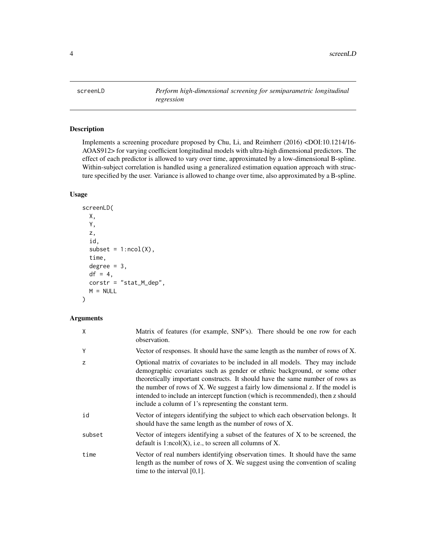<span id="page-3-0"></span>

## Description

Implements a screening procedure proposed by Chu, Li, and Reimherr (2016) <DOI:10.1214/16- AOAS912> for varying coefficient longitudinal models with ultra-high dimensional predictors. The effect of each predictor is allowed to vary over time, approximated by a low-dimensional B-spline. Within-subject correlation is handled using a generalized estimation equation approach with structure specified by the user. Variance is allowed to change over time, also approximated by a B-spline.

## Usage

```
screenLD(
 X,
 Y,
  z,
  id,
  subset = 1:ncol(X),
  time,
 degree = 3,
 df = 4,
 corstr = "stat_M_dep",
 M = NULL)
```
## Arguments

| Χ      | Matrix of features (for example, SNP's). There should be one row for each<br>observation.                                                                                                                                                                                                                                                                                                                                                                                   |
|--------|-----------------------------------------------------------------------------------------------------------------------------------------------------------------------------------------------------------------------------------------------------------------------------------------------------------------------------------------------------------------------------------------------------------------------------------------------------------------------------|
| Y      | Vector of responses. It should have the same length as the number of rows of X.                                                                                                                                                                                                                                                                                                                                                                                             |
| Z      | Optional matrix of covariates to be included in all models. They may include<br>demographic covariates such as gender or ethnic background, or some other<br>theoretically important constructs. It should have the same number of rows as<br>the number of rows of X. We suggest a fairly low dimensional z. If the model is<br>intended to include an intercept function (which is recommended), then z should<br>include a column of 1's representing the constant term. |
| id     | Vector of integers identifying the subject to which each observation belongs. It<br>should have the same length as the number of rows of X.                                                                                                                                                                                                                                                                                                                                 |
| subset | Vector of integers identifying a subset of the features of X to be screened, the<br>default is $1:ncol(X)$ , i.e., to screen all columns of X.                                                                                                                                                                                                                                                                                                                              |
| time   | Vector of real numbers identifying observation times. It should have the same<br>length as the number of rows of X. We suggest using the convention of scaling<br>time to the interval $[0,1]$ .                                                                                                                                                                                                                                                                            |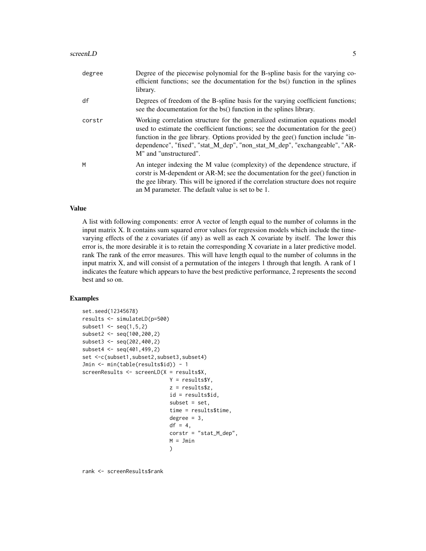#### screenLD 5

| degree | Degree of the piecewise polynomial for the B-spline basis for the varying co-<br>efficient functions; see the documentation for the bs() function in the splines<br>library.                                                                                                                                                                                         |
|--------|----------------------------------------------------------------------------------------------------------------------------------------------------------------------------------------------------------------------------------------------------------------------------------------------------------------------------------------------------------------------|
| df     | Degrees of freedom of the B-spline basis for the varying coefficient functions;<br>see the documentation for the bs() function in the splines library.                                                                                                                                                                                                               |
| corstr | Working correlation structure for the generalized estimation equations model<br>used to estimate the coefficient functions; see the documentation for the $\text{gee}()$<br>function in the gee library. Options provided by the gee() function include "in-<br>dependence", "fixed", "stat_M_dep", "non_stat_M_dep", "exchangeable", "AR-<br>M" and "unstructured". |
| M      | An integer indexing the M value (complexity) of the dependence structure, if<br>corstr is M-dependent or AR-M; see the documentation for the gee() function in<br>the gee library. This will be ignored if the correlation structure does not require<br>an M parameter. The default value is set to be 1.                                                           |

## Value

A list with following components: error A vector of length equal to the number of columns in the input matrix X. It contains sum squared error values for regression models which include the timevarying effects of the z covariates (if any) as well as each X covariate by itself. The lower this error is, the more desirable it is to retain the corresponding X covariate in a later predictive model. rank The rank of the error measures. This will have length equal to the number of columns in the input matrix X, and will consist of a permutation of the integers 1 through that length. A rank of 1 indicates the feature which appears to have the best predictive performance, 2 represents the second best and so on.

## Examples

```
set.seed(12345678)
results <- simulateLD(p=500)
subset1 \leq seq(1,5,2)
subset2 <- seq(100,200,2)
subset3 <- seq(202,400,2)
subset4 <- seq(401,499,2)
set <-c(subset1,subset2,subset3,subset4)
Jmin <- min(table(results$id)) - 1
screenResults <- screenLD(X = results$X,
                            Y = results$Y,
                            z = results$z,
                            id = results$id,
                            subset = set,
                            time = results$time,
                            degree = 3,
                            df = 4,
                             corstr = "stat_M_dep",
                             M = Jmin\lambda
```
rank <- screenResults\$rank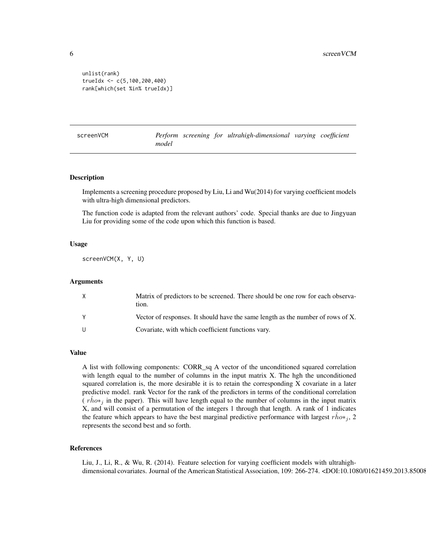```
unlist(rank)
trueIdx <- c(5,100,200,400)
rank[which(set %in% trueIdx)]
```
screenVCM *Perform screening for ultrahigh-dimensional varying coefficient model*

#### Description

Implements a screening procedure proposed by Liu, Li and Wu(2014) for varying coefficient models with ultra-high dimensional predictors.

The function code is adapted from the relevant authors' code. Special thanks are due to Jingyuan Liu for providing some of the code upon which this function is based.

## Usage

screenVCM(X, Y, U)

## Arguments

| X            | Matrix of predictors to be screened. There should be one row for each observa-<br>tion. |
|--------------|-----------------------------------------------------------------------------------------|
| <b>Y</b>     | Vector of responses. It should have the same length as the number of rows of X.         |
| $\mathbf{U}$ | Covariate, with which coefficient functions vary.                                       |

## Value

A list with following components: CORR\_sq A vector of the unconditioned squared correlation with length equal to the number of columns in the input matrix X. The hgh the unconditioned squared correlation is, the more desirable it is to retain the corresponding X covariate in a later predictive model. rank Vector for the rank of the predictors in terms of the conditional correlation  $(\hat{r} \hat{h} \hat{\omega} *_{\hat{j}})$  in the paper). This will have length equal to the number of columns in the input matrix X, and will consist of a permutation of the integers 1 through that length. A rank of 1 indicates the feature which appears to have the best marginal predictive performance with largest  $r \dot{h}o*_j$ , 2 represents the second best and so forth.

## References

Liu, J., Li, R., & Wu, R. (2014). Feature selection for varying coefficient models with ultrahighdimensional covariates. Journal of the American Statistical Association, 109: 266-274. <DOI:10.1080/01621459.2013.85008

<span id="page-5-0"></span>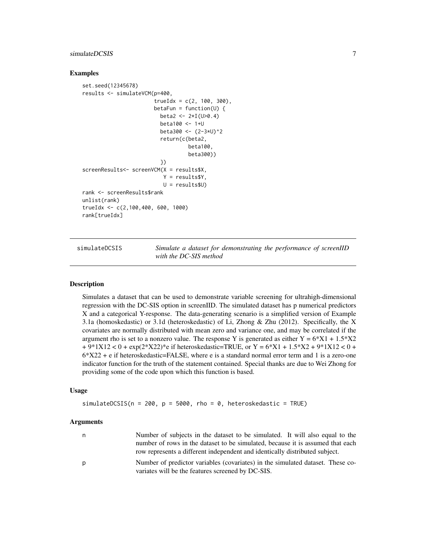## <span id="page-6-0"></span>simulateDCSIS 7

## Examples

```
set.seed(12345678)
results <- simulateVCM(p=400,
                       trueIdx = c(2, 100, 300),
                       betaFun = function(U) {
                         beta2 <- 2*I(U>0.4)
                         beta100 <- 1+U
                         beta300 <- (2-3*U)^2
                         return(c(beta2,
                                   beta100,
                                  beta300))
                         })
screenResults<- screenVCM(X = results$X,
                          Y = results$Y,
                          U = results$U)
rank <- screenResults$rank
unlist(rank)
trueIdx <- c(2,100,400, 600, 1000)
rank[trueIdx]
```
simulateDCSIS *Simulate a dataset for demonstrating the performance of screenIID with the DC-SIS method*

## Description

Simulates a dataset that can be used to demonstrate variable screening for ultrahigh-dimensional regression with the DC-SIS option in screenIID. The simulated dataset has p numerical predictors X and a categorical Y-response. The data-generating scenario is a simplified version of Example 3.1a (homoskedastic) or 3.1d (heteroskedastic) of Li, Zhong & Zhu (2012). Specifically, the X covariates are normally distributed with mean zero and variance one, and may be correlated if the argument rho is set to a nonzero value. The response Y is generated as either  $Y = 6*X1 + 1.5*X2$  $+9*1X12 < 0 + \exp(2*X22)*$ e if heteroskedastic=TRUE, or  $Y = 6*X1 + 1.5*X2 + 9*1X12 < 0 +$  $6*X22 + e$  if heteroskedastic=FALSE, where e is a standard normal error term and 1 is a zero-one indicator function for the truth of the statement contained. Special thanks are due to Wei Zhong for providing some of the code upon which this function is based.

## Usage

simulateDCSIS( $n = 200$ ,  $p = 5000$ , rho = 0, heteroskedastic = TRUE)

#### Arguments

| n | Number of subjects in the dataset to be simulated. It will also equal to the   |
|---|--------------------------------------------------------------------------------|
|   | number of rows in the dataset to be simulated, because it is assumed that each |
|   | row represents a different independent and identically distributed subject.    |
| D | Number of predictor variables (covariates) in the simulated dataset. These co- |
|   | variates will be the features screened by DC-SIS.                              |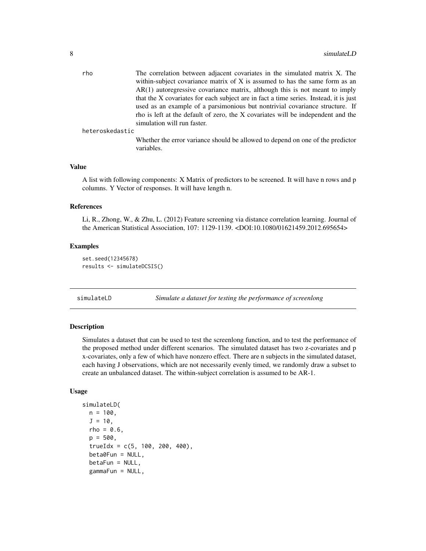<span id="page-7-0"></span>

| The correlation between adjacent covariates in the simulated matrix X. The            |
|---------------------------------------------------------------------------------------|
| within-subject covariance matrix of X is assumed to has the same form as an           |
| $AR(1)$ autoregressive covariance matrix, although this is not meant to imply         |
| that the X covariates for each subject are in fact a time series. Instead, it is just |
| used as an example of a parsimonious but nontrivial covariance structure. If          |
| rho is left at the default of zero, the X covariates will be independent and the      |
| simulation will run faster.                                                           |
|                                                                                       |

heteroskedastic

Whether the error variance should be allowed to depend on one of the predictor variables.

#### Value

A list with following components: X Matrix of predictors to be screened. It will have n rows and p columns. Y Vector of responses. It will have length n.

## References

Li, R., Zhong, W., & Zhu, L. (2012) Feature screening via distance correlation learning. Journal of the American Statistical Association, 107: 1129-1139. <DOI:10.1080/01621459.2012.695654>

#### Examples

```
set.seed(12345678)
results <- simulateDCSIS()
```
simulateLD *Simulate a dataset for testing the performance of screenlong*

## Description

Simulates a dataset that can be used to test the screenlong function, and to test the performance of the proposed method under different scenarios. The simulated dataset has two z-covariates and p x-covariates, only a few of which have nonzero effect. There are n subjects in the simulated dataset, each having J observations, which are not necessarily evenly timed, we randomly draw a subset to create an unbalanced dataset. The within-subject correlation is assumed to be AR-1.

## Usage

```
simulateLD(
 n = 100,
  J = 10,
  rho = 0.6,
 p = 500.
  trueIdx = c(5, 100, 200, 400),
  beta0Fun = NULL,
  betaFun = NULL,
  gammaFun = NULL,
```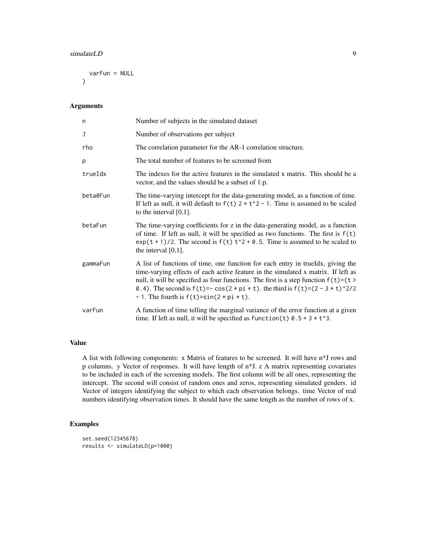#### simulateLD 9

varFun = NULL  $\lambda$ 

#### Arguments

| n        | Number of subjects in the simulated dataset                                                                                                                                                                                                                                                                                                                                                                                            |
|----------|----------------------------------------------------------------------------------------------------------------------------------------------------------------------------------------------------------------------------------------------------------------------------------------------------------------------------------------------------------------------------------------------------------------------------------------|
| J        | Number of observations per subject                                                                                                                                                                                                                                                                                                                                                                                                     |
| rho      | The correlation parameter for the AR-1 correlation structure.                                                                                                                                                                                                                                                                                                                                                                          |
| p        | The total number of features to be screened from                                                                                                                                                                                                                                                                                                                                                                                       |
| trueIdx  | The indexes for the active features in the simulated x matrix. This should be a<br>vector, and the values should be a subset of 1:p.                                                                                                                                                                                                                                                                                                   |
| beta0Fun | The time-varying intercept for the data-generating model, as a function of time.<br>If left as null, it will default to $f(t)$ 2 $\star$ t <sup><math>\land</math></sup> 2 - 1. Time is assumed to be scaled<br>to the interval $[0,1]$ .                                                                                                                                                                                              |
| betaFun  | The time-varying coefficients for z in the data-generating model, as a function<br>of time. If left as null, it will be specified as two functions. The first is $f(t)$<br>$exp(t + 1)/2$ . The second is $f(t)$ $t^2 + 0.5$ . Time is assumed to be scaled to<br>the interval $[0,1]$ .                                                                                                                                               |
| gammaFun | A list of functions of time, one function for each entry in trueldx, giving the<br>time-varying effects of each active feature in the simulated x matrix. If left as<br>null, it will be specified as four functions. The first is a step function $f(t)=(t)$<br>0.4). The second is $f(t) = -\cos(2 \times \pi) \times t$ . the third is $f(t) = (2 - 3 \times t)^{2}/2$<br>- 1. The fourth is $f(t) = \sin(2 \times \pi \times t)$ . |
| varFun   | A function of time telling the marginal variance of the error function at a given<br>time. If left as null, it will be specified as function(t) $0.5 + 3 \times t$ <sup>3</sup> .                                                                                                                                                                                                                                                      |

## Value

A list with following components: x Matrix of features to be screened. It will have n\*J rows and p columns. y Vector of responses. It will have length of n\*J. z A matrix representing covariates to be included in each of the screening models. The first column will be all ones, representing the intercept. The second will consist of random ones and zeros, representing simulated genders. id Vector of integers identifying the subject to which each observation belongs. time Vector of real numbers identifying observation times. It should have the same length as the number of rows of x.

## Examples

```
set.seed(12345678)
results <- simulateLD(p=1000)
```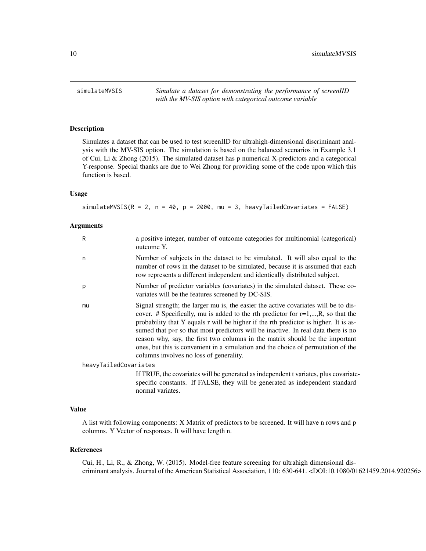<span id="page-9-0"></span>simulateMVSIS *Simulate a dataset for demonstrating the performance of screenIID with the MV-SIS option with categorical outcome variable*

## Description

Simulates a dataset that can be used to test screenIID for ultrahigh-dimensional discriminant analysis with the MV-SIS option. The simulation is based on the balanced scenarios in Example 3.1 of Cui, Li & Zhong (2015). The simulated dataset has p numerical X-predictors and a categorical Y-response. Special thanks are due to Wei Zhong for providing some of the code upon which this function is based.

## Usage

simulateMVSIS( $R = 2$ ,  $n = 40$ ,  $p = 2000$ , mu = 3, heavyTailedCovariates = FALSE)

## Arguments

| R                     | a positive integer, number of outcome categories for multinomial (categorical)<br>outcome Y.                                                                                                                                                                                                                                                                                                                                                                                                                                                                           |
|-----------------------|------------------------------------------------------------------------------------------------------------------------------------------------------------------------------------------------------------------------------------------------------------------------------------------------------------------------------------------------------------------------------------------------------------------------------------------------------------------------------------------------------------------------------------------------------------------------|
| n                     | Number of subjects in the dataset to be simulated. It will also equal to the<br>number of rows in the dataset to be simulated, because it is assumed that each<br>row represents a different independent and identically distributed subject.                                                                                                                                                                                                                                                                                                                          |
| p                     | Number of predictor variables (covariates) in the simulated dataset. These co-<br>variates will be the features screened by DC-SIS.                                                                                                                                                                                                                                                                                                                                                                                                                                    |
| mu                    | Signal strength; the larger mu is, the easier the active covariates will be to dis-<br>cover. # Specifically, mu is added to the rth predictor for $r=1,,R$ , so that the<br>probability that Y equals r will be higher if the rth predictor is higher. It is as-<br>sumed that p»r so that most predictors will be inactive. In real data there is no<br>reason why, say, the first two columns in the matrix should be the important<br>ones, but this is convenient in a simulation and the choice of permutation of the<br>columns involves no loss of generality. |
| heavyTailedCovariates |                                                                                                                                                                                                                                                                                                                                                                                                                                                                                                                                                                        |
|                       | If TRUE, the covariates will be generated as independent t variates, plus covariate-<br>specific constants. If FALSE, they will be generated as independent standard<br>normal variates.                                                                                                                                                                                                                                                                                                                                                                               |

### Value

A list with following components: X Matrix of predictors to be screened. It will have n rows and p columns. Y Vector of responses. It will have length n.

#### References

Cui, H., Li, R., & Zhong, W. (2015). Model-free feature screening for ultrahigh dimensional discriminant analysis. Journal of the American Statistical Association, 110: 630-641. <DOI:10.1080/01621459.2014.920256>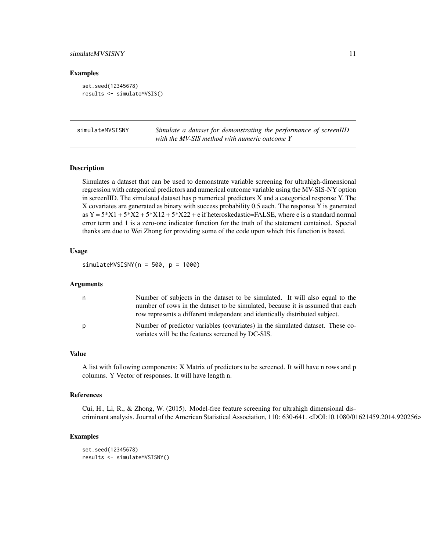## <span id="page-10-0"></span>simulateMVSISNY 11

## Examples

```
set.seed(12345678)
results <- simulateMVSIS()
```

| simulateMVSISNY | Simulate a dataset for demonstrating the performance of screenIID |
|-----------------|-------------------------------------------------------------------|
|                 | with the MV-SIS method with numeric outcome Y                     |

## Description

Simulates a dataset that can be used to demonstrate variable screening for ultrahigh-dimensional regression with categorical predictors and numerical outcome variable using the MV-SIS-NY option in screenIID. The simulated dataset has p numerical predictors X and a categorical response Y. The X covariates are generated as binary with success probability 0.5 each. The response Y is generated as  $Y = 5*X1 + 5*X2 + 5*X12 + 5*X22 + e$  if heteroskedastic=FALSE, where e is a standard normal error term and 1 is a zero-one indicator function for the truth of the statement contained. Special thanks are due to Wei Zhong for providing some of the code upon which this function is based.

#### Usage

 $simlateMVSISNY(n = 500, p = 1000)$ 

#### Arguments

| n | Number of subjects in the dataset to be simulated. It will also equal to the                                                        |
|---|-------------------------------------------------------------------------------------------------------------------------------------|
|   | number of rows in the dataset to be simulated, because it is assumed that each                                                      |
|   | row represents a different independent and identically distributed subject.                                                         |
| p | Number of predictor variables (covariates) in the simulated dataset. These co-<br>variates will be the features screened by DC-SIS. |

## Value

A list with following components: X Matrix of predictors to be screened. It will have n rows and p columns. Y Vector of responses. It will have length n.

## References

Cui, H., Li, R., & Zhong, W. (2015). Model-free feature screening for ultrahigh dimensional discriminant analysis. Journal of the American Statistical Association, 110: 630-641. <DOI:10.1080/01621459.2014.920256>

## Examples

```
set.seed(12345678)
results <- simulateMVSISNY()
```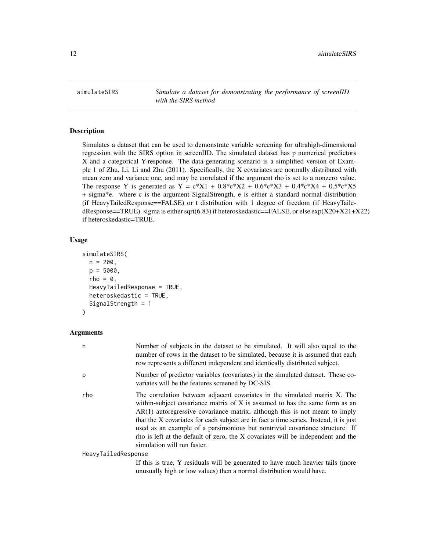<span id="page-11-0"></span>simulateSIRS *Simulate a dataset for demonstrating the performance of screenIID with the SIRS method*

## **Description**

Simulates a dataset that can be used to demonstrate variable screening for ultrahigh-dimensional regression with the SIRS option in screenIID. The simulated dataset has p numerical predictors X and a categorical Y-response. The data-generating scenario is a simplified version of Example 1 of Zhu, Li, Li and Zhu (2011). Specifically, the X covariates are normally distributed with mean zero and variance one, and may be correlated if the argument rho is set to a nonzero value. The response Y is generated as  $Y = c^*X1 + 0.8^*c^*X2 + 0.6^*c^*X3 + 0.4^*c^*X4 + 0.5^*c^*X5$ + sigma\*e. where c is the argument SignalStrength, e is either a standard normal distribution (if HeavyTailedResponse==FALSE) or t distribution with 1 degree of freedom (if HeavyTailedResponse==TRUE). sigma is either sqrt(6.83) if heteroskedastic==FALSE, or else  $exp(X20+X21+X22)$ if heteroskedastic=TRUE.

## Usage

```
simulateSIRS(
  n = 200,
  p = 5000,rho = 0,
 HeavyTailedResponse = TRUE,
  heteroskedastic = TRUE,
  SignalStrength = 1
)
```
## Arguments

| n                   | Number of subjects in the dataset to be simulated. It will also equal to the<br>number of rows in the dataset to be simulated, because it is assumed that each<br>row represents a different independent and identically distributed subject.                                                                                                                                                                                                                                                                                          |
|---------------------|----------------------------------------------------------------------------------------------------------------------------------------------------------------------------------------------------------------------------------------------------------------------------------------------------------------------------------------------------------------------------------------------------------------------------------------------------------------------------------------------------------------------------------------|
| р                   | Number of predictor variables (covariates) in the simulated dataset. These co-<br>variates will be the features screened by DC-SIS.                                                                                                                                                                                                                                                                                                                                                                                                    |
| rho                 | The correlation between adjacent covariates in the simulated matrix X. The<br>within-subject covariance matrix of X is assumed to has the same form as an<br>$AR(1)$ autoregressive covariance matrix, although this is not meant to imply<br>that the X covariates for each subject are in fact a time series. Instead, it is just<br>used as an example of a parsimonious but nontrivial covariance structure. If<br>rho is left at the default of zero, the X covariates will be independent and the<br>simulation will run faster. |
| HeavyTailedResponse |                                                                                                                                                                                                                                                                                                                                                                                                                                                                                                                                        |
|                     | If this is true, Y residuals will be generated to have much heavier tails (more                                                                                                                                                                                                                                                                                                                                                                                                                                                        |

unusually high or low values) then a normal distribution would have.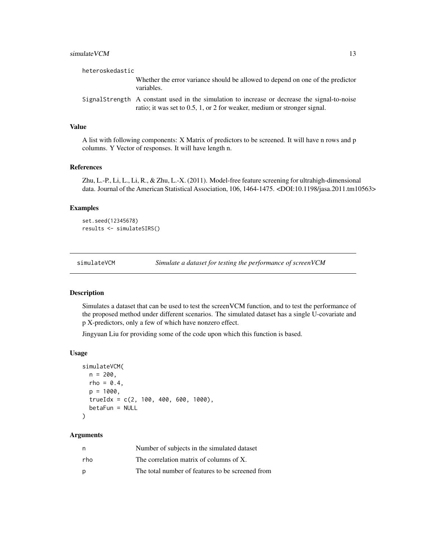## <span id="page-12-0"></span>simulate VCM 13

| heteroskedastic |                                                                                                                                                                              |
|-----------------|------------------------------------------------------------------------------------------------------------------------------------------------------------------------------|
|                 | Whether the error variance should be allowed to depend on one of the predictor<br>variables.                                                                                 |
|                 | Signal Strength A constant used in the simulation to increase or decrease the signal-to-noise<br>ratio; it was set to $0.5$ , 1, or 2 for weaker, medium or stronger signal. |

## Value

A list with following components: X Matrix of predictors to be screened. It will have n rows and p columns. Y Vector of responses. It will have length n.

#### References

Zhu, L.-P., Li, L., Li, R., & Zhu, L.-X. (2011). Model-free feature screening for ultrahigh-dimensional data. Journal of the American Statistical Association, 106, 1464-1475. <DOI:10.1198/jasa.2011.tm10563>

## Examples

```
set.seed(12345678)
results <- simulateSIRS()
```
simulateVCM *Simulate a dataset for testing the performance of screenVCM*

## Description

Simulates a dataset that can be used to test the screenVCM function, and to test the performance of the proposed method under different scenarios. The simulated dataset has a single U-covariate and p X-predictors, only a few of which have nonzero effect.

Jingyuan Liu for providing some of the code upon which this function is based.

## Usage

```
simulateVCM(
 n = 200,
 rho = 0.4,
 p = 1000,
  trueIdx = c(2, 100, 400, 600, 1000),
 betaFun = NULL
)
```
### Arguments

| n   | Number of subjects in the simulated dataset      |
|-----|--------------------------------------------------|
| rho | The correlation matrix of columns of X.          |
| D   | The total number of features to be screened from |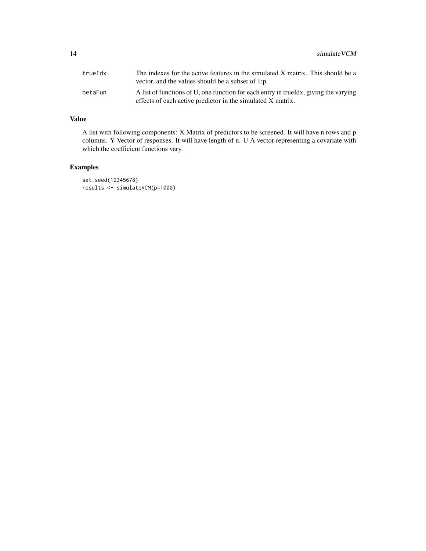| trueIdx | The indexes for the active features in the simulated X matrix. This should be a<br>vector, and the values should be a subset of 1:p.                 |
|---------|------------------------------------------------------------------------------------------------------------------------------------------------------|
| betaFun | A list of functions of U, one function for each entry in true Idx, giving the varying<br>effects of each active predictor in the simulated X matrix. |

## Value

A list with following components: X Matrix of predictors to be screened. It will have n rows and p columns. Y Vector of responses. It will have length of n. U A vector representing a covariate with which the coefficient functions vary.

## Examples

set.seed(12345678) results <- simulateVCM(p=1000)